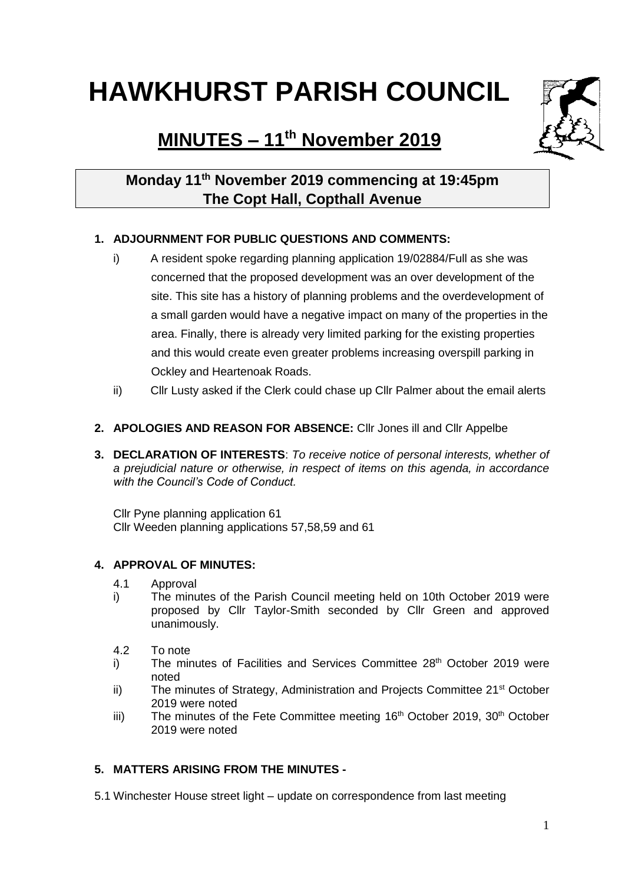# **HAWKHURST PARISH COUNCIL**

## **MINUTES – 11th November 2019**



### **Monday 11th November 2019 commencing at 19:45pm The Copt Hall, Copthall Avenue**

#### **1. ADJOURNMENT FOR PUBLIC QUESTIONS AND COMMENTS:**

- i) A resident spoke regarding planning application 19/02884/Full as she was concerned that the proposed development was an over development of the site. This site has a history of planning problems and the overdevelopment of a small garden would have a negative impact on many of the properties in the area. Finally, there is already very limited parking for the existing properties and this would create even greater problems increasing overspill parking in Ockley and Heartenoak Roads.
- ii) Cllr Lusty asked if the Clerk could chase up Cllr Palmer about the email alerts
- **2. APOLOGIES AND REASON FOR ABSENCE:** Cllr Jones ill and Cllr Appelbe
- **3. DECLARATION OF INTERESTS**: *To receive notice of personal interests, whether of a prejudicial nature or otherwise, in respect of items on this agenda, in accordance with the Council's Code of Conduct.*

Cllr Pyne planning application 61 Cllr Weeden planning applications 57,58,59 and 61

#### **4. APPROVAL OF MINUTES:**

- 4.1 Approval
- i) The minutes of the Parish Council meeting held on 10th October 2019 were proposed by Cllr Taylor-Smith seconded by Cllr Green and approved unanimously.
- 4.2 To note
- i) The minutes of Facilities and Services Committee 28<sup>th</sup> October 2019 were noted
- ii) The minutes of Strategy, Administration and Projects Committee  $21<sup>st</sup>$  October 2019 were noted
- iii) The minutes of the Fete Committee meeting 16<sup>th</sup> October 2019, 30<sup>th</sup> October 2019 were noted

#### **5. MATTERS ARISING FROM THE MINUTES -**

5.1 Winchester House street light – update on correspondence from last meeting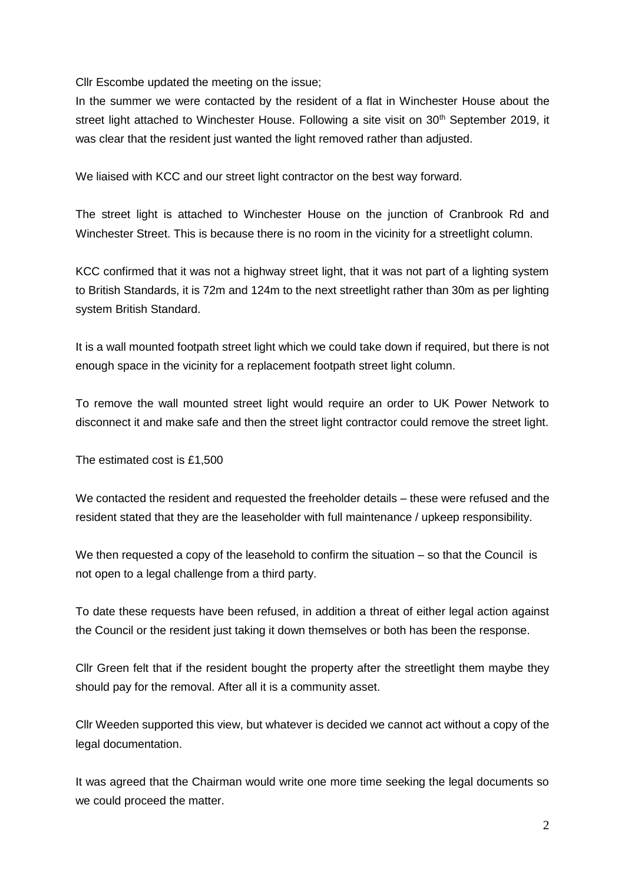Cllr Escombe updated the meeting on the issue;

In the summer we were contacted by the resident of a flat in Winchester House about the street light attached to Winchester House. Following a site visit on 30<sup>th</sup> September 2019, it was clear that the resident just wanted the light removed rather than adjusted.

We liaised with KCC and our street light contractor on the best way forward.

The street light is attached to Winchester House on the junction of Cranbrook Rd and Winchester Street. This is because there is no room in the vicinity for a streetlight column.

KCC confirmed that it was not a highway street light, that it was not part of a lighting system to British Standards, it is 72m and 124m to the next streetlight rather than 30m as per lighting system British Standard.

It is a wall mounted footpath street light which we could take down if required, but there is not enough space in the vicinity for a replacement footpath street light column.

To remove the wall mounted street light would require an order to UK Power Network to disconnect it and make safe and then the street light contractor could remove the street light.

The estimated cost is £1,500

We contacted the resident and requested the freeholder details – these were refused and the resident stated that they are the leaseholder with full maintenance / upkeep responsibility.

We then requested a copy of the leasehold to confirm the situation – so that the Council is not open to a legal challenge from a third party.

To date these requests have been refused, in addition a threat of either legal action against the Council or the resident just taking it down themselves or both has been the response.

Cllr Green felt that if the resident bought the property after the streetlight them maybe they should pay for the removal. After all it is a community asset.

Cllr Weeden supported this view, but whatever is decided we cannot act without a copy of the legal documentation.

It was agreed that the Chairman would write one more time seeking the legal documents so we could proceed the matter.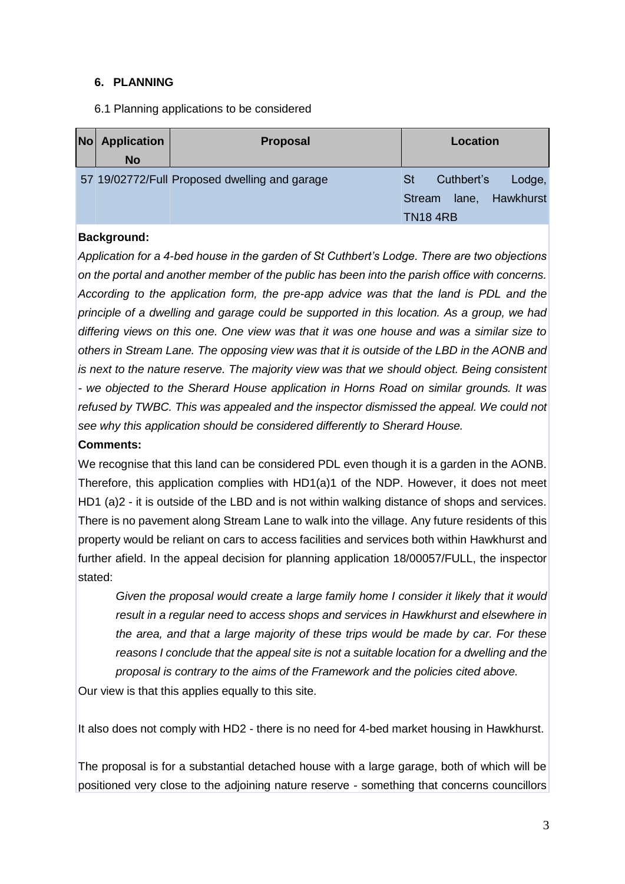#### **6. PLANNING**

6.1 Planning applications to be considered

| <b>No</b> | <b>Application</b> | <b>Proposal</b>                               | Location                          |
|-----------|--------------------|-----------------------------------------------|-----------------------------------|
|           | <b>No</b>          |                                               |                                   |
|           |                    | 57 19/02772/Full Proposed dwelling and garage | <b>St</b><br>Cuthbert's<br>Lodge, |
|           |                    |                                               | Hawkhurst<br>Stream<br>lane,      |
|           |                    |                                               | <b>TN184RB</b>                    |

#### **Background:**

*Application for a 4-bed house in the garden of St Cuthbert's Lodge. There are two objections on the portal and another member of the public has been into the parish office with concerns. According to the application form, the pre-app advice was that the land is PDL and the principle of a dwelling and garage could be supported in this location. As a group, we had differing views on this one. One view was that it was one house and was a similar size to others in Stream Lane. The opposing view was that it is outside of the LBD in the AONB and is next to the nature reserve. The majority view was that we should object. Being consistent - we objected to the Sherard House application in Horns Road on similar grounds. It was refused by TWBC. This was appealed and the inspector dismissed the appeal. We could not see why this application should be considered differently to Sherard House.*

#### **Comments:**

We recognise that this land can be considered PDL even though it is a garden in the AONB. Therefore, this application complies with HD1(a)1 of the NDP. However, it does not meet HD1 (a)2 - it is outside of the LBD and is not within walking distance of shops and services. There is no pavement along Stream Lane to walk into the village. Any future residents of this property would be reliant on cars to access facilities and services both within Hawkhurst and further afield. In the appeal decision for planning application 18/00057/FULL, the inspector stated:

*Given the proposal would create a large family home I consider it likely that it would result in a regular need to access shops and services in Hawkhurst and elsewhere in the area, and that a large majority of these trips would be made by car. For these reasons I conclude that the appeal site is not a suitable location for a dwelling and the proposal is contrary to the aims of the Framework and the policies cited above.* 

Our view is that this applies equally to this site.

It also does not comply with HD2 - there is no need for 4-bed market housing in Hawkhurst.

The proposal is for a substantial detached house with a large garage, both of which will be positioned very close to the adjoining nature reserve - something that concerns councillors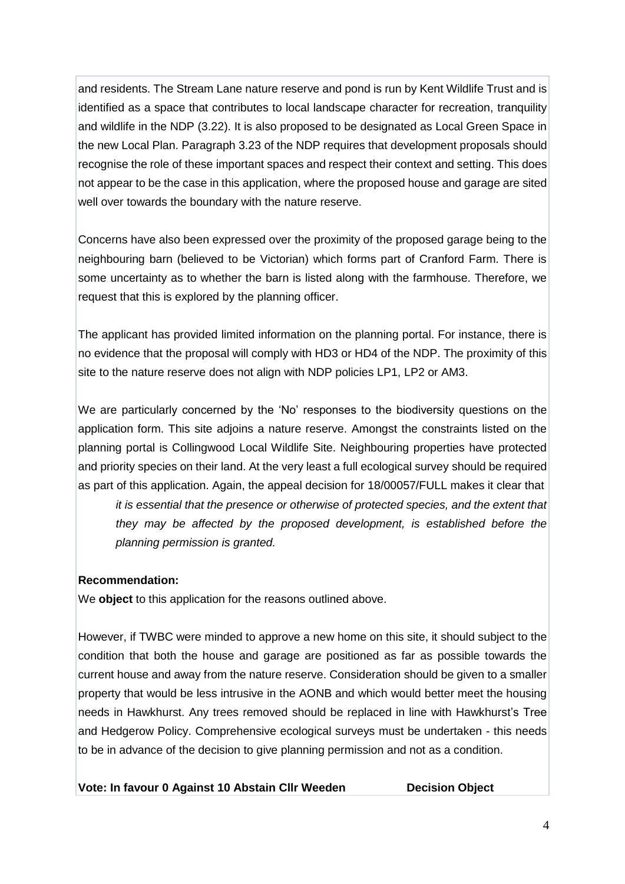and residents. The Stream Lane nature reserve and pond is run by Kent Wildlife Trust and is identified as a space that contributes to local landscape character for recreation, tranquility and wildlife in the NDP (3.22). It is also proposed to be designated as Local Green Space in the new Local Plan. Paragraph 3.23 of the NDP requires that development proposals should recognise the role of these important spaces and respect their context and setting. This does not appear to be the case in this application, where the proposed house and garage are sited well over towards the boundary with the nature reserve.

Concerns have also been expressed over the proximity of the proposed garage being to the neighbouring barn (believed to be Victorian) which forms part of Cranford Farm. There is some uncertainty as to whether the barn is listed along with the farmhouse. Therefore, we request that this is explored by the planning officer.

The applicant has provided limited information on the planning portal. For instance, there is no evidence that the proposal will comply with HD3 or HD4 of the NDP. The proximity of this site to the nature reserve does not align with NDP policies LP1, LP2 or AM3.

We are particularly concerned by the 'No' responses to the biodiversity questions on the application form. This site adjoins a nature reserve. Amongst the constraints listed on the planning portal is Collingwood Local Wildlife Site. Neighbouring properties have protected and priority species on their land. At the very least a full ecological survey should be required as part of this application. Again, the appeal decision for 18/00057/FULL makes it clear that

*it is essential that the presence or otherwise of protected species, and the extent that they may be affected by the proposed development, is established before the planning permission is granted.* 

#### **Recommendation:**

We **object** to this application for the reasons outlined above.

However, if TWBC were minded to approve a new home on this site, it should subject to the condition that both the house and garage are positioned as far as possible towards the current house and away from the nature reserve. Consideration should be given to a smaller property that would be less intrusive in the AONB and which would better meet the housing needs in Hawkhurst. Any trees removed should be replaced in line with Hawkhurst's Tree and Hedgerow Policy. Comprehensive ecological surveys must be undertaken - this needs to be in advance of the decision to give planning permission and not as a condition.

**Vote: In favour 0 Against 10 Abstain Cllr Weeden Decision Object**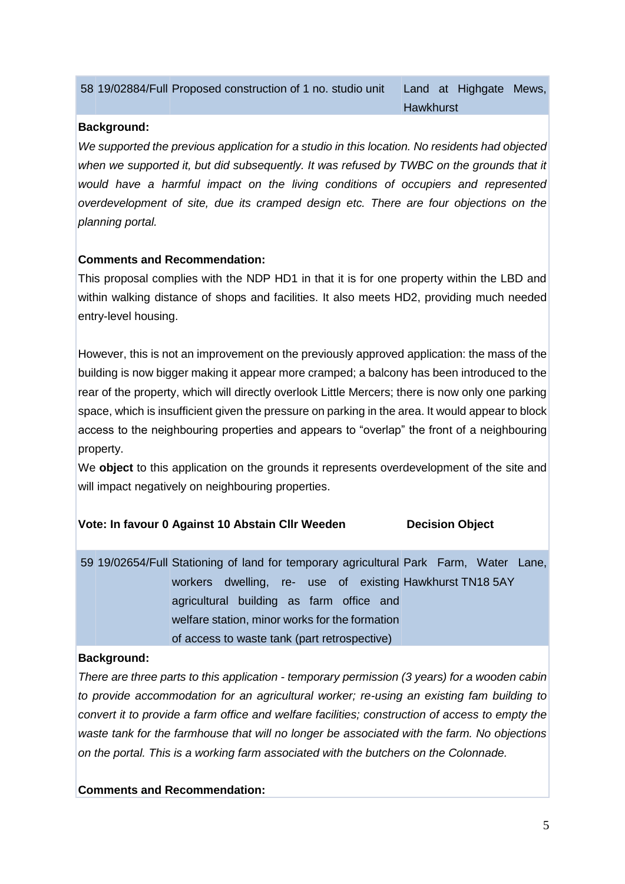|  |  | 58 19/02884/Full Proposed construction of 1 no. studio unit |
|--|--|-------------------------------------------------------------|
|--|--|-------------------------------------------------------------|

#### **Background:**

*We supported the previous application for a studio in this location. No residents had objected when we supported it, but did subsequently. It was refused by TWBC on the grounds that it would have a harmful impact on the living conditions of occupiers and represented overdevelopment of site, due its cramped design etc. There are four objections on the planning portal.*

#### **Comments and Recommendation:**

This proposal complies with the NDP HD1 in that it is for one property within the LBD and within walking distance of shops and facilities. It also meets HD2, providing much needed entry-level housing.

However, this is not an improvement on the previously approved application: the mass of the building is now bigger making it appear more cramped; a balcony has been introduced to the rear of the property, which will directly overlook Little Mercers; there is now only one parking space, which is insufficient given the pressure on parking in the area. It would appear to block access to the neighbouring properties and appears to "overlap" the front of a neighbouring property.

We **object** to this application on the grounds it represents overdevelopment of the site and will impact negatively on neighbouring properties.

#### **Vote: In favour 0 Against 10 Abstain Cllr Weeden Decision Object**

59 19/02654/Full Stationing of land for temporary agricultural Park Farm, Water Lane, workers dwelling, re- use of existing Hawkhurst TN18 5AY agricultural building as farm office and welfare station, minor works for the formation of access to waste tank (part retrospective)

#### **Background:**

*There are three parts to this application - temporary permission (3 years) for a wooden cabin to provide accommodation for an agricultural worker; re-using an existing fam building to convert it to provide a farm office and welfare facilities; construction of access to empty the waste tank for the farmhouse that will no longer be associated with the farm. No objections on the portal. This is a working farm associated with the butchers on the Colonnade.*

**Comments and Recommendation:**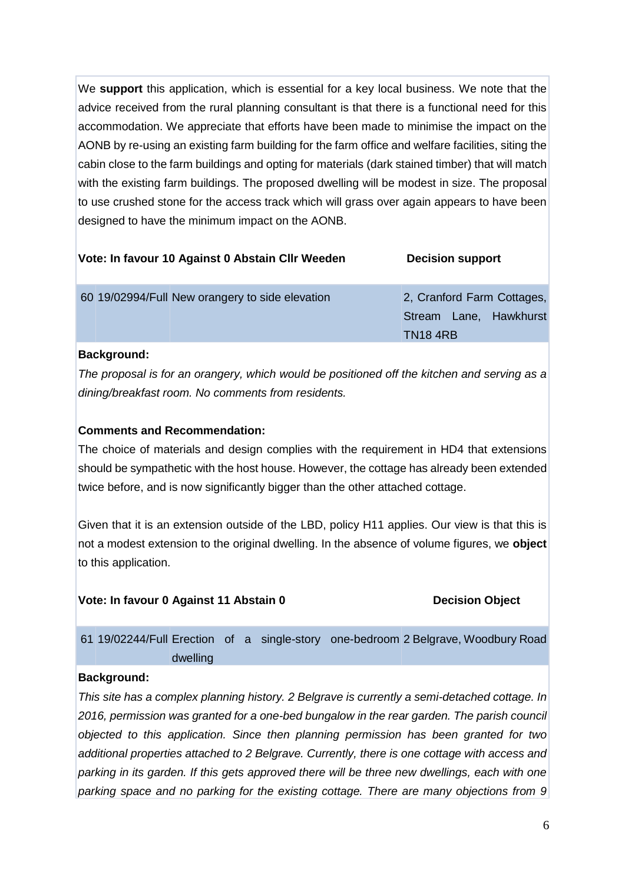We **support** this application, which is essential for a key local business. We note that the advice received from the rural planning consultant is that there is a functional need for this accommodation. We appreciate that efforts have been made to minimise the impact on the AONB by re-using an existing farm building for the farm office and welfare facilities, siting the cabin close to the farm buildings and opting for materials (dark stained timber) that will match with the existing farm buildings. The proposed dwelling will be modest in size. The proposal to use crushed stone for the access track which will grass over again appears to have been designed to have the minimum impact on the AONB.

|  | Vote: In favour 10 Against 0 Abstain CIIr Weeden | <b>Decision support</b>                                                 |
|--|--------------------------------------------------|-------------------------------------------------------------------------|
|  | 60 19/02994/Full New orangery to side elevation  | 2, Cranford Farm Cottages,<br>Stream Lane, Hawkhurst<br><b>TN18 4RB</b> |
|  |                                                  |                                                                         |

#### **Background:**

*The proposal is for an orangery, which would be positioned off the kitchen and serving as a dining/breakfast room. No comments from residents.*

#### **Comments and Recommendation:**

The choice of materials and design complies with the requirement in HD4 that extensions should be sympathetic with the host house. However, the cottage has already been extended twice before, and is now significantly bigger than the other attached cottage.

Given that it is an extension outside of the LBD, policy H11 applies. Our view is that this is not a modest extension to the original dwelling. In the absence of volume figures, we **object** to this application.

#### **Vote: In favour 0 Against 11 Abstain 0 Decision Object**

61 19/02244/Full Erection of a single-story one-bedroom 2 Belgrave, Woodbury Road dwelling

#### **Background:**

*This site has a complex planning history. 2 Belgrave is currently a semi-detached cottage. In 2016, permission was granted for a one-bed bungalow in the rear garden. The parish council objected to this application. Since then planning permission has been granted for two additional properties attached to 2 Belgrave. Currently, there is one cottage with access and parking in its garden. If this gets approved there will be three new dwellings, each with one parking space and no parking for the existing cottage. There are many objections from 9*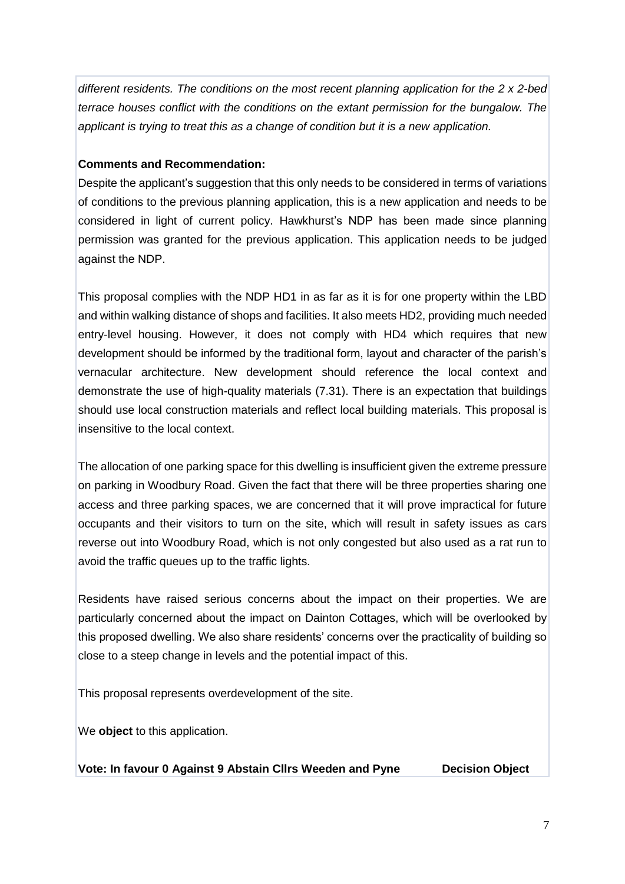*different residents. The conditions on the most recent planning application for the 2 x 2-bed terrace houses conflict with the conditions on the extant permission for the bungalow. The applicant is trying to treat this as a change of condition but it is a new application.* 

#### **Comments and Recommendation:**

Despite the applicant's suggestion that this only needs to be considered in terms of variations of conditions to the previous planning application, this is a new application and needs to be considered in light of current policy. Hawkhurst's NDP has been made since planning permission was granted for the previous application. This application needs to be judged against the NDP.

This proposal complies with the NDP HD1 in as far as it is for one property within the LBD and within walking distance of shops and facilities. It also meets HD2, providing much needed entry-level housing. However, it does not comply with HD4 which requires that new development should be informed by the traditional form, layout and character of the parish's vernacular architecture. New development should reference the local context and demonstrate the use of high-quality materials (7.31). There is an expectation that buildings should use local construction materials and reflect local building materials. This proposal is insensitive to the local context.

The allocation of one parking space for this dwelling is insufficient given the extreme pressure on parking in Woodbury Road. Given the fact that there will be three properties sharing one access and three parking spaces, we are concerned that it will prove impractical for future occupants and their visitors to turn on the site, which will result in safety issues as cars reverse out into Woodbury Road, which is not only congested but also used as a rat run to avoid the traffic queues up to the traffic lights.

Residents have raised serious concerns about the impact on their properties. We are particularly concerned about the impact on Dainton Cottages, which will be overlooked by this proposed dwelling. We also share residents' concerns over the practicality of building so close to a steep change in levels and the potential impact of this.

This proposal represents overdevelopment of the site.

We **object** to this application.

**Vote: In favour 0 Against 9 Abstain Cllrs Weeden and Pyne Decision Object**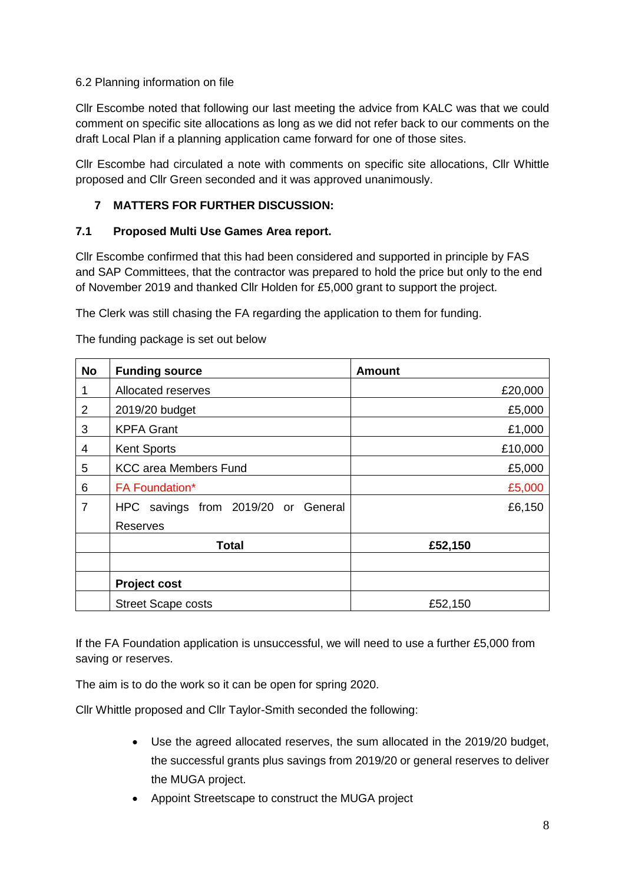#### 6.2 Planning information on file

Cllr Escombe noted that following our last meeting the advice from KALC was that we could comment on specific site allocations as long as we did not refer back to our comments on the draft Local Plan if a planning application came forward for one of those sites.

Cllr Escombe had circulated a note with comments on specific site allocations, Cllr Whittle proposed and Cllr Green seconded and it was approved unanimously.

#### **7 MATTERS FOR FURTHER DISCUSSION:**

#### **7.1 Proposed Multi Use Games Area report.**

Cllr Escombe confirmed that this had been considered and supported in principle by FAS and SAP Committees, that the contractor was prepared to hold the price but only to the end of November 2019 and thanked Cllr Holden for £5,000 grant to support the project.

The Clerk was still chasing the FA regarding the application to them for funding.

The funding package is set out below

| <b>No</b>      | <b>Funding source</b>               | <b>Amount</b> |
|----------------|-------------------------------------|---------------|
| 1              | Allocated reserves                  | £20,000       |
| 2              | 2019/20 budget                      | £5,000        |
| 3              | <b>KPFA Grant</b>                   | £1,000        |
| 4              | <b>Kent Sports</b>                  | £10,000       |
| 5              | <b>KCC area Members Fund</b>        | £5,000        |
| 6              | <b>FA Foundation*</b>               | £5,000        |
| $\overline{7}$ | HPC savings from 2019/20 or General | £6,150        |
|                | <b>Reserves</b>                     |               |
|                | <b>Total</b>                        | £52,150       |
|                |                                     |               |
|                | <b>Project cost</b>                 |               |
|                | <b>Street Scape costs</b>           | £52,150       |

If the FA Foundation application is unsuccessful, we will need to use a further £5,000 from saving or reserves.

The aim is to do the work so it can be open for spring 2020.

Cllr Whittle proposed and Cllr Taylor-Smith seconded the following:

- Use the agreed allocated reserves, the sum allocated in the 2019/20 budget, the successful grants plus savings from 2019/20 or general reserves to deliver the MUGA project.
- Appoint Streetscape to construct the MUGA project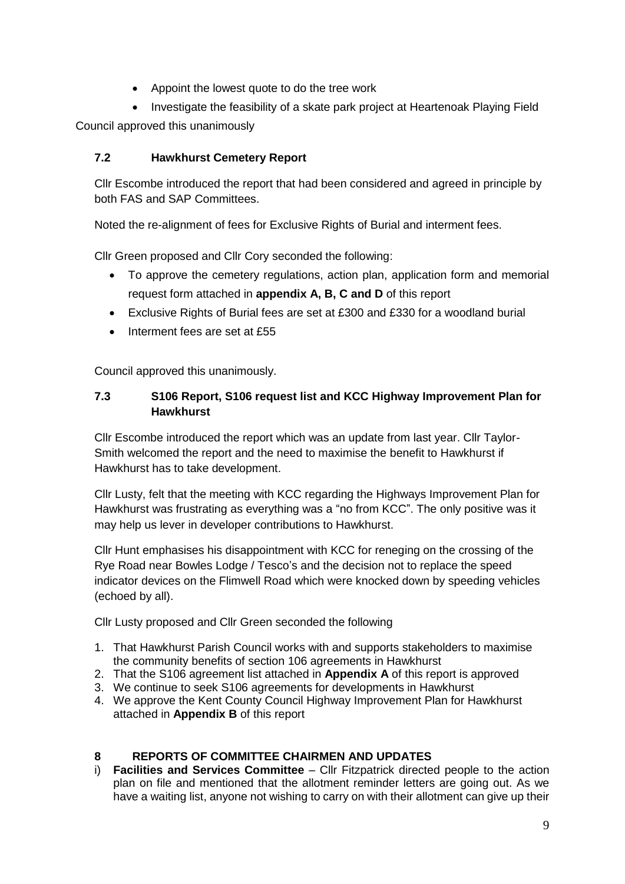- Appoint the lowest quote to do the tree work
- Investigate the feasibility of a skate park project at Heartenoak Playing Field

Council approved this unanimously

#### **7.2 Hawkhurst Cemetery Report**

Cllr Escombe introduced the report that had been considered and agreed in principle by both FAS and SAP Committees.

Noted the re-alignment of fees for Exclusive Rights of Burial and interment fees.

Cllr Green proposed and Cllr Cory seconded the following:

- To approve the cemetery regulations, action plan, application form and memorial request form attached in **appendix A, B, C and D** of this report
- Exclusive Rights of Burial fees are set at £300 and £330 for a woodland burial
- $\bullet$  Interment fees are set at £55

Council approved this unanimously.

#### **7.3 S106 Report, S106 request list and KCC Highway Improvement Plan for Hawkhurst**

Cllr Escombe introduced the report which was an update from last year. Cllr Taylor-Smith welcomed the report and the need to maximise the benefit to Hawkhurst if Hawkhurst has to take development.

Cllr Lusty, felt that the meeting with KCC regarding the Highways Improvement Plan for Hawkhurst was frustrating as everything was a "no from KCC". The only positive was it may help us lever in developer contributions to Hawkhurst.

Cllr Hunt emphasises his disappointment with KCC for reneging on the crossing of the Rye Road near Bowles Lodge / Tesco's and the decision not to replace the speed indicator devices on the Flimwell Road which were knocked down by speeding vehicles (echoed by all).

Cllr Lusty proposed and Cllr Green seconded the following

- 1. That Hawkhurst Parish Council works with and supports stakeholders to maximise the community benefits of section 106 agreements in Hawkhurst
- 2. That the S106 agreement list attached in **Appendix A** of this report is approved
- 3. We continue to seek S106 agreements for developments in Hawkhurst
- 4. We approve the Kent County Council Highway Improvement Plan for Hawkhurst attached in **Appendix B** of this report

#### **8 REPORTS OF COMMITTEE CHAIRMEN AND UPDATES**

i) **Facilities and Services Committee** – Cllr Fitzpatrick directed people to the action plan on file and mentioned that the allotment reminder letters are going out. As we have a waiting list, anyone not wishing to carry on with their allotment can give up their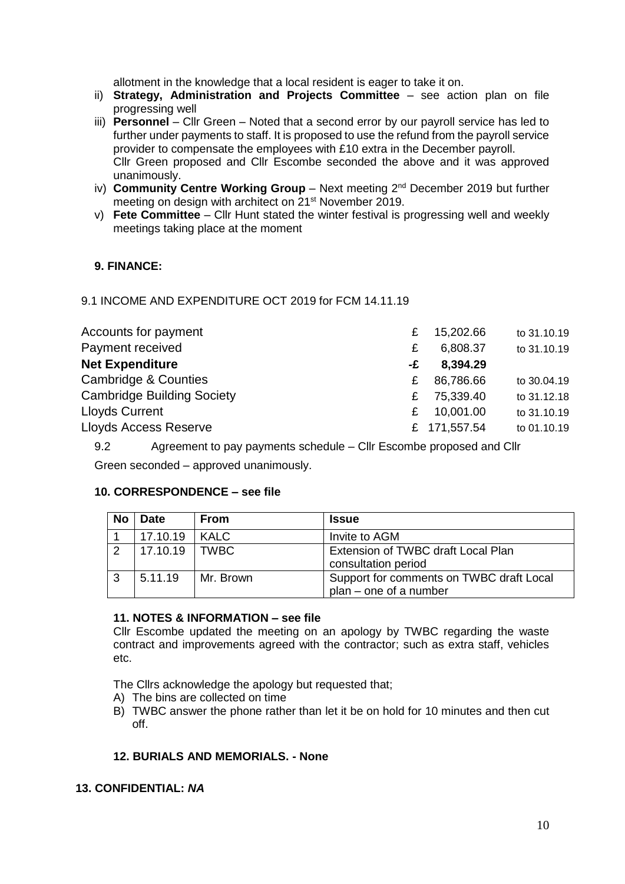allotment in the knowledge that a local resident is eager to take it on.

- ii) **Strategy, Administration and Projects Committee**  see action plan on file progressing well
- iii) **Personnel** Cllr Green Noted that a second error by our payroll service has led to further under payments to staff. It is proposed to use the refund from the payroll service provider to compensate the employees with £10 extra in the December payroll. Cllr Green proposed and Cllr Escombe seconded the above and it was approved unanimously.
- iv) **Community Centre Working Group** Next meeting 2nd December 2019 but further meeting on design with architect on 21st November 2019.
- v) **Fete Committee** Cllr Hunt stated the winter festival is progressing well and weekly meetings taking place at the moment

#### **9. FINANCE:**

#### 9.1 INCOME AND EXPENDITURE OCT 2019 for FCM 14.11.19

| Accounts for payment              | £  | 15,202.66    | to 31.10.19 |
|-----------------------------------|----|--------------|-------------|
| Payment received                  | £  | 6,808.37     | to 31.10.19 |
| <b>Net Expenditure</b>            | -£ | 8,394.29     |             |
| Cambridge & Counties              | £. | 86,786.66    | to 30.04.19 |
| <b>Cambridge Building Society</b> | £. | 75,339.40    | to 31.12.18 |
| <b>Lloyds Current</b>             | £  | 10,001.00    | to 31.10.19 |
| <b>Lloyds Access Reserve</b>      |    | £ 171,557.54 | to 01.10.19 |

9.2 Agreement to pay payments schedule – Cllr Escombe proposed and Cllr

Green seconded – approved unanimously.

#### **10. CORRESPONDENCE – see file**

| <b>No</b> | <b>Date</b> | <b>From</b> | <b>Issue</b>                                                         |
|-----------|-------------|-------------|----------------------------------------------------------------------|
|           | 17.10.19    | <b>KALC</b> | Invite to AGM                                                        |
|           | 17.10.19    | I TWBC      | Extension of TWBC draft Local Plan<br>consultation period            |
|           | 5.11.19     | Mr. Brown   | Support for comments on TWBC draft Local<br>$plan - one of a number$ |

#### **11. NOTES & INFORMATION – see file**

Cllr Escombe updated the meeting on an apology by TWBC regarding the waste contract and improvements agreed with the contractor; such as extra staff, vehicles etc.

The Cllrs acknowledge the apology but requested that;

- A) The bins are collected on time
- B) TWBC answer the phone rather than let it be on hold for 10 minutes and then cut off.

#### **12. BURIALS AND MEMORIALS. - None**

#### **13. CONFIDENTIAL:** *NA*